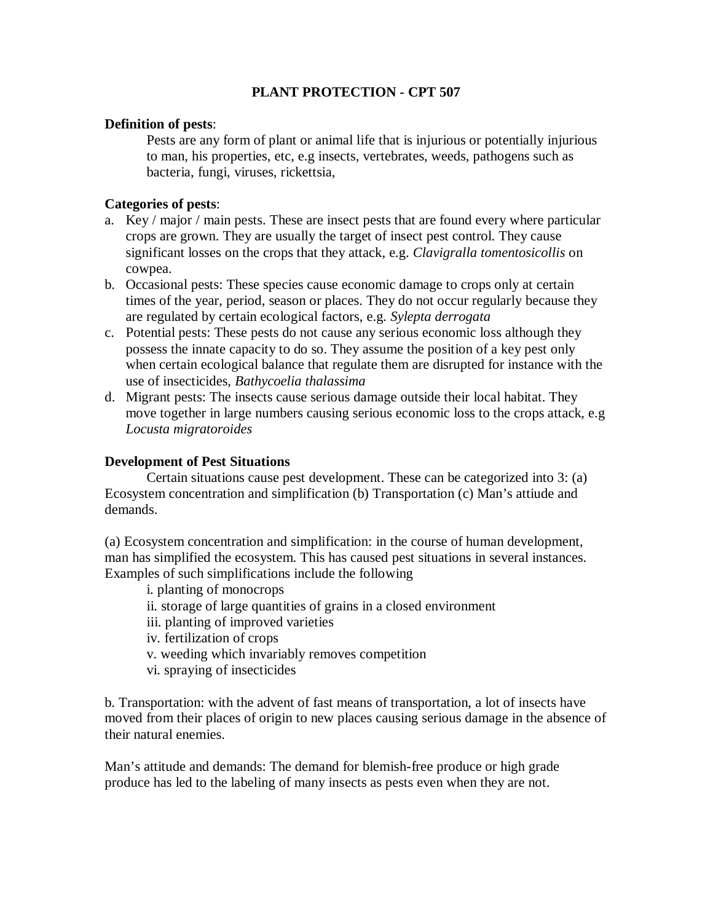# **PLANT PROTECTION - CPT 507**

### **Definition of pests**:

Pests are any form of plant or animal life that is injurious or potentially injurious to man, his properties, etc, e.g insects, vertebrates, weeds, pathogens such as bacteria, fungi, viruses, rickettsia,

# **Categories of pests**:

- a. Key / major / main pests. These are insect pests that are found every where particular crops are grown. They are usually the target of insect pest control. They cause significant losses on the crops that they attack, e.g. *Clavigralla tomentosicollis* on cowpea.
- b. Occasional pests: These species cause economic damage to crops only at certain times of the year, period, season or places. They do not occur regularly because they are regulated by certain ecological factors, e.g. *Sylepta derrogata*
- c. Potential pests: These pests do not cause any serious economic loss although they possess the innate capacity to do so. They assume the position of a key pest only when certain ecological balance that regulate them are disrupted for instance with the use of insecticides, *Bathycoelia thalassima*
- d. Migrant pests: The insects cause serious damage outside their local habitat. They move together in large numbers causing serious economic loss to the crops attack, e.g *Locusta migratoroides*

### **Development of Pest Situations**

Certain situations cause pest development. These can be categorized into 3: (a) Ecosystem concentration and simplification (b) Transportation (c) Man's attiude and demands.

(a) Ecosystem concentration and simplification: in the course of human development, man has simplified the ecosystem. This has caused pest situations in several instances. Examples of such simplifications include the following

- i. planting of monocrops
- ii. storage of large quantities of grains in a closed environment
- iii. planting of improved varieties
- iv. fertilization of crops
- v. weeding which invariably removes competition
- vi. spraying of insecticides

b. Transportation: with the advent of fast means of transportation, a lot of insects have moved from their places of origin to new places causing serious damage in the absence of their natural enemies.

Man's attitude and demands: The demand for blemish-free produce or high grade produce has led to the labeling of many insects as pests even when they are not.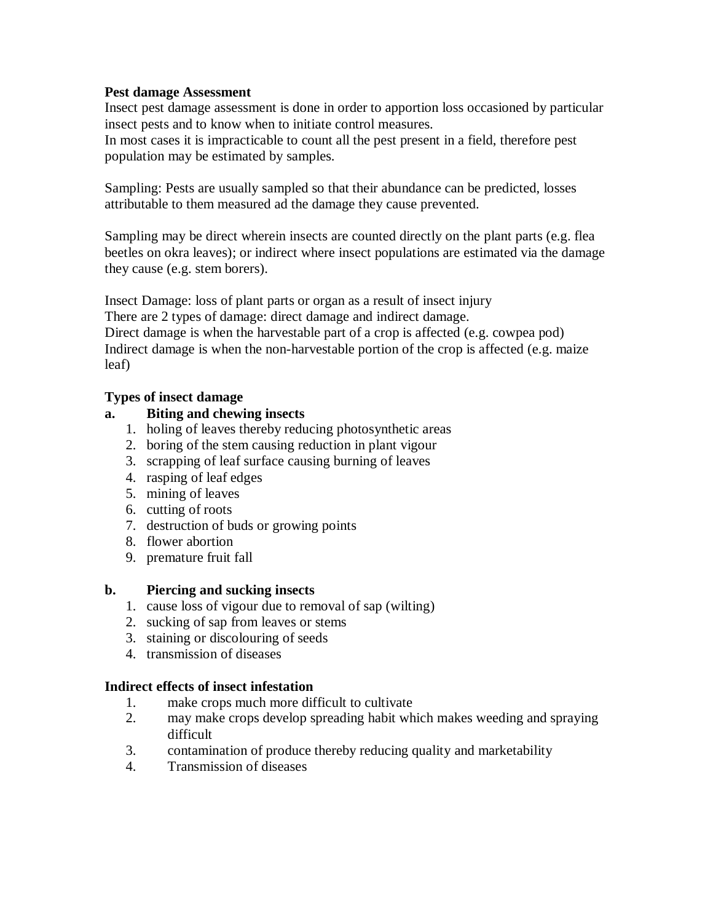# **Pest damage Assessment**

Insect pest damage assessment is done in order to apportion loss occasioned by particular insect pests and to know when to initiate control measures.

In most cases it is impracticable to count all the pest present in a field, therefore pest population may be estimated by samples.

Sampling: Pests are usually sampled so that their abundance can be predicted, losses attributable to them measured ad the damage they cause prevented.

Sampling may be direct wherein insects are counted directly on the plant parts (e.g. flea beetles on okra leaves); or indirect where insect populations are estimated via the damage they cause (e.g. stem borers).

Insect Damage: loss of plant parts or organ as a result of insect injury There are 2 types of damage: direct damage and indirect damage. Direct damage is when the harvestable part of a crop is affected (e.g. cowpea pod) Indirect damage is when the non-harvestable portion of the crop is affected (e.g. maize leaf)

# **Types of insect damage**

# **a. Biting and chewing insects**

- 1. holing of leaves thereby reducing photosynthetic areas
- 2. boring of the stem causing reduction in plant vigour
- 3. scrapping of leaf surface causing burning of leaves
- 4. rasping of leaf edges
- 5. mining of leaves
- 6. cutting of roots
- 7. destruction of buds or growing points
- 8. flower abortion
- 9. premature fruit fall

# **b. Piercing and sucking insects**

- 1. cause loss of vigour due to removal of sap (wilting)
- 2. sucking of sap from leaves or stems
- 3. staining or discolouring of seeds
- 4. transmission of diseases

# **Indirect effects of insect infestation**

- 1. make crops much more difficult to cultivate
- 2. may make crops develop spreading habit which makes weeding and spraying difficult
- 3. contamination of produce thereby reducing quality and marketability
- 4. Transmission of diseases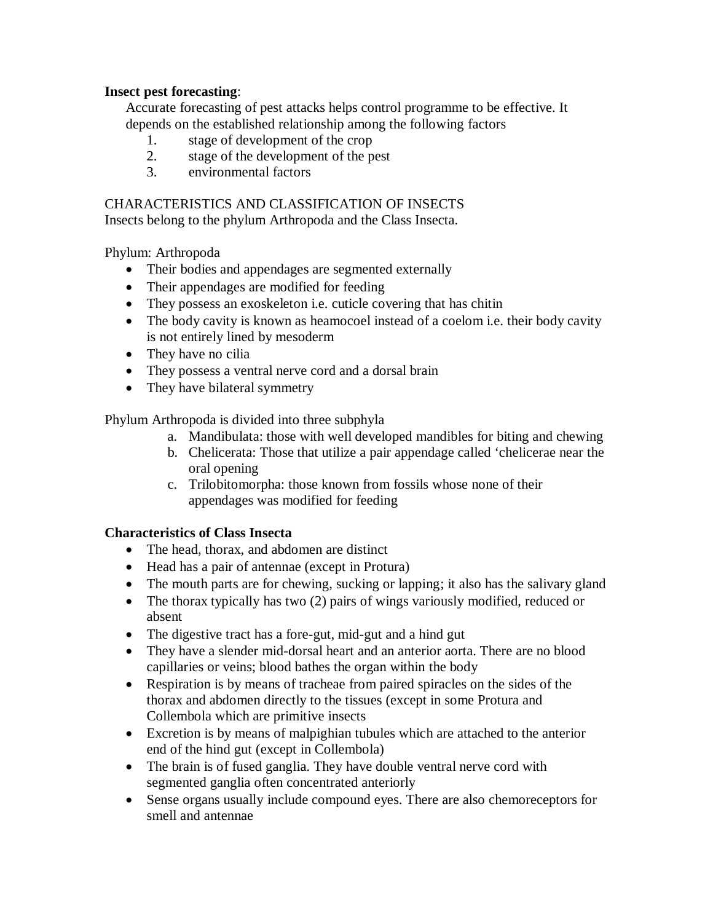# **Insect pest forecasting**:

Accurate forecasting of pest attacks helps control programme to be effective. It depends on the established relationship among the following factors

- 1. stage of development of the crop
- 2. stage of the development of the pest
- 3. environmental factors

# CHARACTERISTICS AND CLASSIFICATION OF INSECTS

Insects belong to the phylum Arthropoda and the Class Insecta.

Phylum: Arthropoda

- Their bodies and appendages are segmented externally
- Their appendages are modified for feeding
- They possess an exoskeleton i.e. cuticle covering that has chitin
- The body cavity is known as heamocoel instead of a coelom i.e. their body cavity is not entirely lined by mesoderm
- They have no cilia
- They possess a ventral nerve cord and a dorsal brain
- They have bilateral symmetry

Phylum Arthropoda is divided into three subphyla

- a. Mandibulata: those with well developed mandibles for biting and chewing
- b. Chelicerata: Those that utilize a pair appendage called 'chelicerae near the oral opening
- c. Trilobitomorpha: those known from fossils whose none of their appendages was modified for feeding

# **Characteristics of Class Insecta**

- The head, thorax, and abdomen are distinct
- Head has a pair of antennae (except in Protura)
- The mouth parts are for chewing, sucking or lapping; it also has the salivary gland
- The thorax typically has two (2) pairs of wings variously modified, reduced or absent
- The digestive tract has a fore-gut, mid-gut and a hind gut
- They have a slender mid-dorsal heart and an anterior aorta. There are no blood capillaries or veins; blood bathes the organ within the body
- Respiration is by means of tracheae from paired spiracles on the sides of the thorax and abdomen directly to the tissues (except in some Protura and Collembola which are primitive insects
- Excretion is by means of malpighian tubules which are attached to the anterior end of the hind gut (except in Collembola)
- The brain is of fused ganglia. They have double ventral nerve cord with segmented ganglia often concentrated anteriorly
- Sense organs usually include compound eyes. There are also chemoreceptors for smell and antennae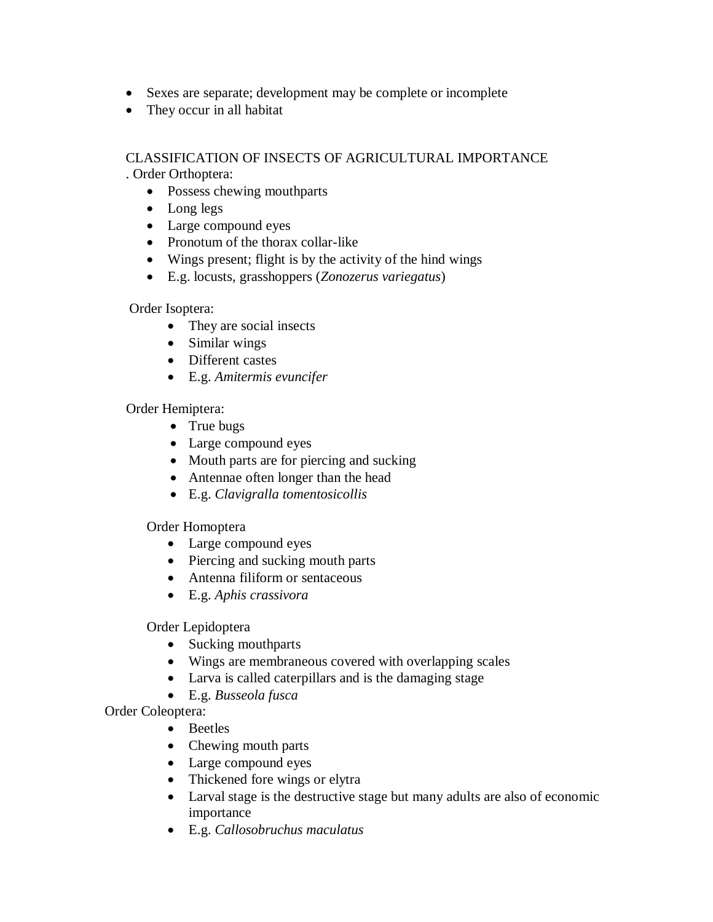- Sexes are separate; development may be complete or incomplete
- They occur in all habitat

# CLASSIFICATION OF INSECTS OF AGRICULTURAL IMPORTANCE . Order Orthoptera:

- Possess chewing mouthparts
- Long legs
- Large compound eyes
- Pronotum of the thorax collar-like
- Wings present; flight is by the activity of the hind wings
- E.g. locusts, grasshoppers (*Zonozerus variegatus*)

Order Isoptera:

- They are social insects
- Similar wings
- Different castes
- E.g. *Amitermis evuncifer*

Order Hemiptera:

- True bugs
- Large compound eyes
- Mouth parts are for piercing and sucking
- Antennae often longer than the head
- E.g. *Clavigralla tomentosicollis*

Order Homoptera

- Large compound eyes
- Piercing and sucking mouth parts
- Antenna filiform or sentaceous
- E.g. *Aphis crassivora*

# Order Lepidoptera

- Sucking mouthparts
- Wings are membraneous covered with overlapping scales
- Larva is called caterpillars and is the damaging stage
- E.g. *Busseola fusca*

Order Coleoptera:

- Beetles
- Chewing mouth parts
- Large compound eyes
- Thickened fore wings or elytra
- Larval stage is the destructive stage but many adults are also of economic importance
- E.g. *Callosobruchus maculatus*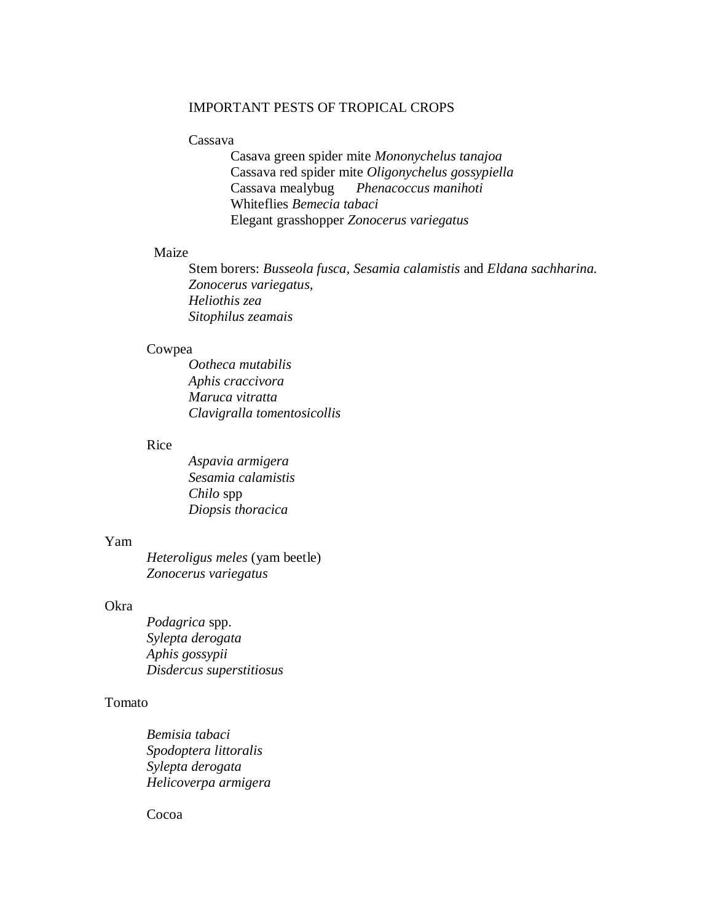### IMPORTANT PESTS OF TROPICAL CROPS

#### Cassava

Casava green spider mite *Mononychelus tanajoa* Cassava red spider mite *Oligonychelus gossypiella* Cassava mealybug *Phenacoccus manihoti* Whiteflies *Bemecia tabaci* Elegant grasshopper *Zonocerus variegatus*

# Maize

Stem borers: *Busseola fusca, Sesamia calamistis* and *Eldana sachharina. Zonocerus variegatus, Heliothis zea Sitophilus zeamais*

### Cowpea

*Ootheca mutabilis Aphis craccivora Maruca vitratta Clavigralla tomentosicollis*

# Rice

*Aspavia armigera Sesamia calamistis Chilo* spp *Diopsis thoracica*

#### Yam

*Heteroligus meles* (yam beetle) *Zonocerus variegatus*

#### Okra

*Podagrica* spp. *Sylepta derogata Aphis gossypii Disdercus superstitiosus*

### Tomato

*Bemisia tabaci Spodoptera littoralis Sylepta derogata Helicoverpa armigera*

Cocoa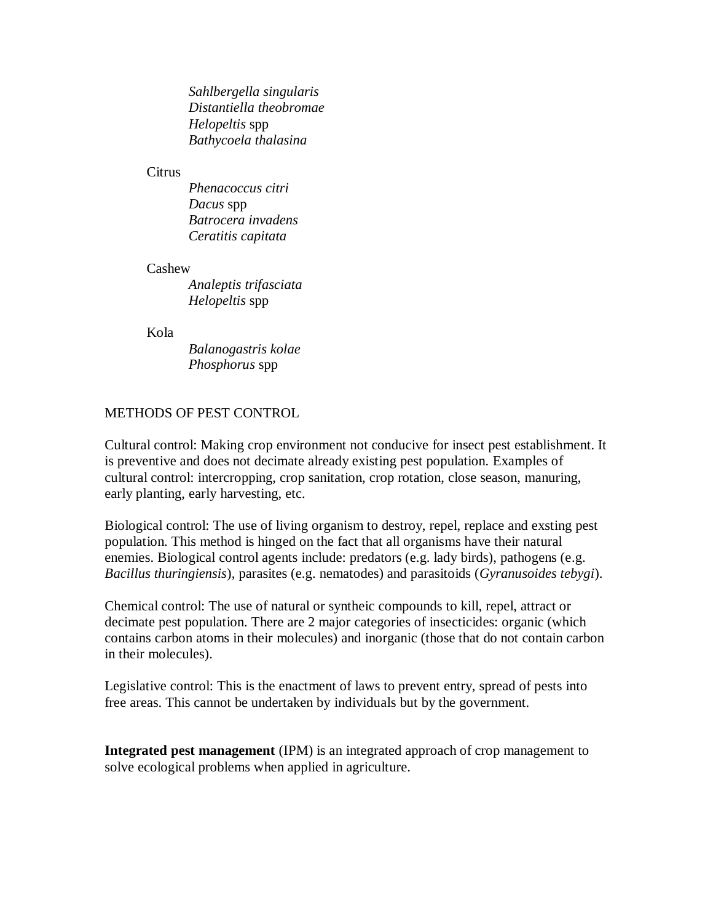*Sahlbergella singularis Distantiella theobromae Helopeltis* spp *Bathycoela thalasina*

### Citrus

*Phenacoccus citri Dacus* spp *Batrocera invadens Ceratitis capitata*

#### Cashew

*Analeptis trifasciata Helopeltis* spp

#### Kola

*Balanogastris kolae Phosphorus* spp

# METHODS OF PEST CONTROL

Cultural control: Making crop environment not conducive for insect pest establishment. It is preventive and does not decimate already existing pest population. Examples of cultural control: intercropping, crop sanitation, crop rotation, close season, manuring, early planting, early harvesting, etc.

Biological control: The use of living organism to destroy, repel, replace and exsting pest population. This method is hinged on the fact that all organisms have their natural enemies. Biological control agents include: predators (e.g. lady birds), pathogens (e.g. *Bacillus thuringiensis*), parasites (e.g. nematodes) and parasitoids (*Gyranusoides tebygi*).

Chemical control: The use of natural or syntheic compounds to kill, repel, attract or decimate pest population. There are 2 major categories of insecticides: organic (which contains carbon atoms in their molecules) and inorganic (those that do not contain carbon in their molecules).

Legislative control: This is the enactment of laws to prevent entry, spread of pests into free areas. This cannot be undertaken by individuals but by the government.

**Integrated pest management** (IPM) is an integrated approach of crop management to solve ecological problems when applied in agriculture.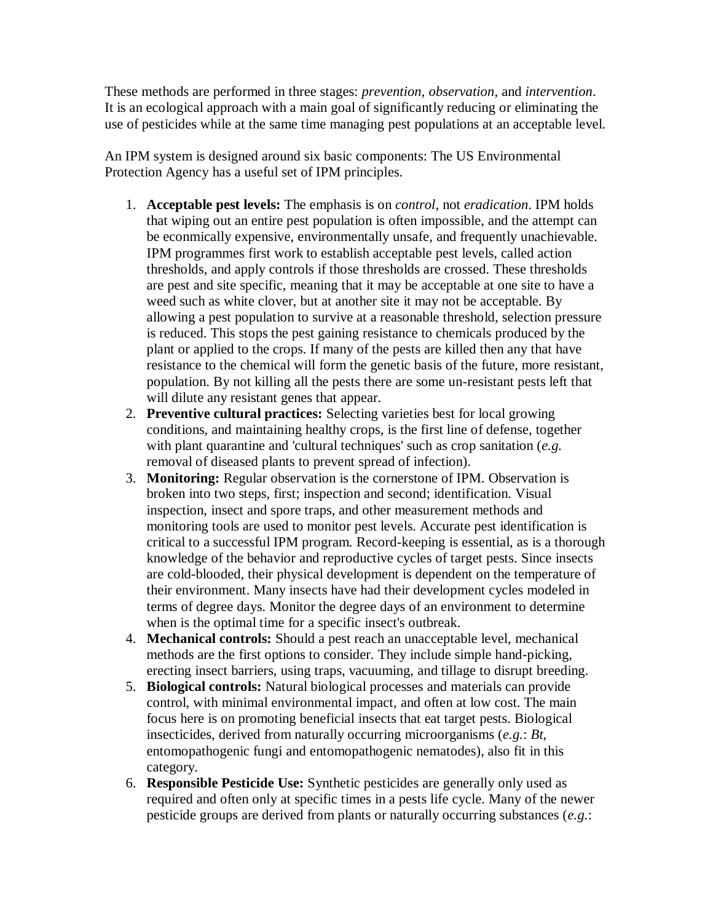These methods are performed in three stages: *prevention*, *observation*, and *intervention*. It is an ecological approach with a main goal of significantly reducing or eliminating the use of pesticides while at the same time managing pest populations at an acceptable level.

An IPM system is designed around six basic components: The US Environmental Protection Agency has a useful set of IPM principles.

- 1. **Acceptable pest levels:** The emphasis is on *control*, not *eradication*. IPM holds that wiping out an entire pest population is often impossible, and the attempt can be econmically expensive, environmentally unsafe, and frequently unachievable. IPM programmes first work to establish acceptable pest levels, called action thresholds, and apply controls if those thresholds are crossed. These thresholds are pest and site specific, meaning that it may be acceptable at one site to have a weed such as white clover, but at another site it may not be acceptable. By allowing a pest population to survive at a reasonable threshold, selection pressure is reduced. This stops the pest gaining resistance to chemicals produced by the plant or applied to the crops. If many of the pests are killed then any that have resistance to the chemical will form the genetic basis of the future, more resistant, population. By not killing all the pests there are some un-resistant pests left that will dilute any resistant genes that appear.
- 2. **Preventive cultural practices:** Selecting varieties best for local growing conditions, and maintaining healthy crops, is the first line of defense, together with plant quarantine and 'cultural techniques' such as crop sanitation (*e.g.* removal of diseased plants to prevent spread of infection).
- 3. **Monitoring:** Regular observation is the cornerstone of IPM. Observation is broken into two steps, first; inspection and second; identification. Visual inspection, insect and spore traps, and other measurement methods and monitoring tools are used to monitor pest levels. Accurate pest identification is critical to a successful IPM program. Record-keeping is essential, as is a thorough knowledge of the behavior and reproductive cycles of target pests. Since insects are cold-blooded, their physical development is dependent on the temperature of their environment. Many insects have had their development cycles modeled in terms of degree days. Monitor the degree days of an environment to determine when is the optimal time for a specific insect's outbreak.
- 4. **Mechanical controls:** Should a pest reach an unacceptable level, mechanical methods are the first options to consider. They include simple hand-picking, erecting insect barriers, using traps, vacuuming, and tillage to disrupt breeding.
- 5. **Biological controls:** Natural biological processes and materials can provide control, with minimal environmental impact, and often at low cost. The main focus here is on promoting beneficial insects that eat target pests. Biological insecticides, derived from naturally occurring microorganisms (*e.g.*: *Bt*, entomopathogenic fungi and entomopathogenic nematodes), also fit in this category.
- 6. **Responsible Pesticide Use:** Synthetic pesticides are generally only used as required and often only at specific times in a pests life cycle. Many of the newer pesticide groups are derived from plants or naturally occurring substances (*e.g.*: